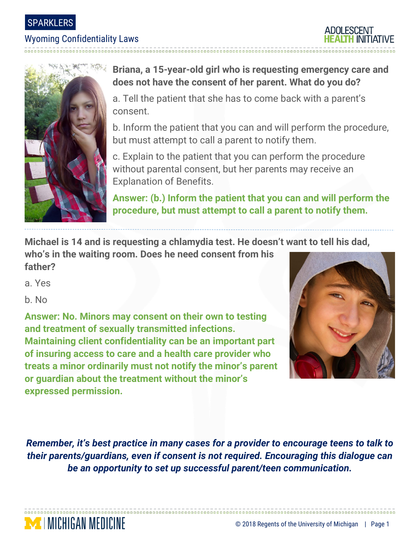SPARKLERS

## Wyoming Confidentiality Laws





## **Briana, a 15-year-old girl who is requesting emergency care and does not have the consent of her parent. What do you do?**

a. Tell the patient that she has to come back with a parent's consent.

b. Inform the patient that you can and will perform the procedure, but must attempt to call a parent to notify them.

c. Explain to the patient that you can perform the procedure without parental consent, but her parents may receive an Explanation of Benefits.

**Answer: (b.) Inform the patient that you can and will perform the procedure, but must attempt to call a parent to notify them.**

**Michael is 14 and is requesting a chlamydia test. He doesn't want to tell his dad,** 

**who's in the waiting room. Does he need consent from his father?**

a. Yes

b. No

**Answer: No. Minors may consent on their own to testing and treatment of sexually transmitted infections. Maintaining client confidentiality can be an important part of insuring access to care and a health care provider who treats a minor ordinarily must not notify the minor's parent or guardian about the treatment without the minor's expressed permission.**



*Remember, it's best practice in many cases for a provider to encourage teens to talk to their parents/guardians, even if consent is not required. Encouraging this dialogue can be an opportunity to set up successful parent/teen communication.*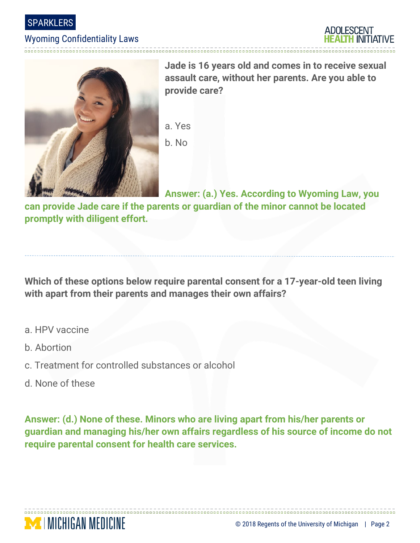

## Wyoming Confidentiality Laws





**Jade is 16 years old and comes in to receive sexual assault care, without her parents. Are you able to provide care?**

a. Yes b. No

**Answer: (a.) Yes. According to Wyoming Law, you** 

**can provide Jade care if the parents or guardian of the minor cannot be located promptly with diligent effort.**

**Which of these options below require parental consent for a 17-year-old teen living with apart from their parents and manages their own affairs?**

- a. HPV vaccine
- b. Abortion
- c. Treatment for controlled substances or alcohol
- d. None of these

**MEDICHIGAN MEDICINE** 

**Answer: (d.) None of these. Minors who are living apart from his/her parents or guardian and managing his/her own affairs regardless of his source of income do not require parental consent for health care services.**